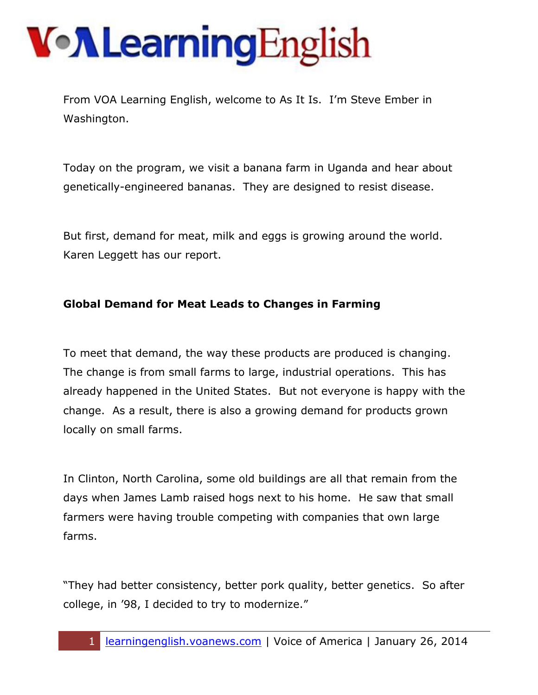# VollearningEnglish

From VOA Learning English, welcome to As It Is. I'm Steve Ember in Washington.

Today on the program, we visit a banana farm in Uganda and hear about genetically-engineered bananas. They are designed to resist disease.

But first, demand for meat, milk and eggs is growing around the world. Karen Leggett has our report.

#### **Global Demand for Meat Leads to Changes in Farming**

To meet that demand, the way these products are produced is changing. The change is from small farms to large, industrial operations. This has already happened in the United States. But not everyone is happy with the change. As a result, there is also a growing demand for products grown locally on small farms.

In Clinton, North Carolina, some old buildings are all that remain from the days when James Lamb raised hogs next to his home. He saw that small farmers were having trouble competing with companies that own large farms.

"They had better consistency, better pork quality, better genetics. So after college, in '98, I decided to try to modernize."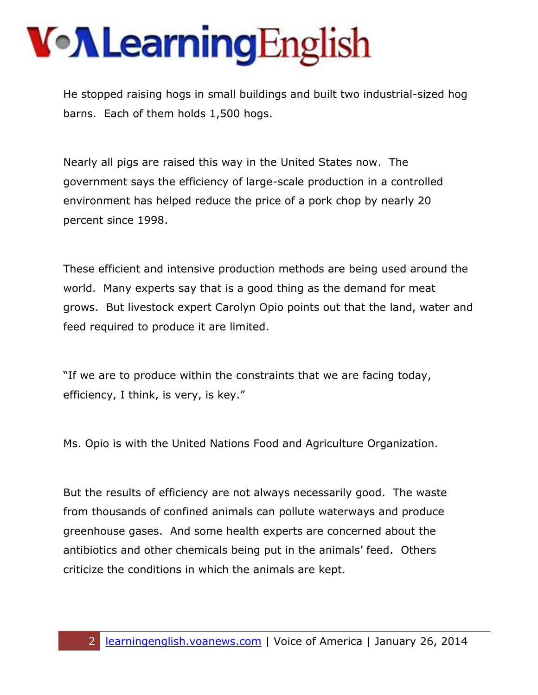He stopped raising hogs in small buildings and built two industrial-sized hog barns. Each of them holds 1,500 hogs.

Nearly all pigs are raised this way in the United States now. The government says the efficiency of large-scale production in a controlled environment has helped reduce the price of a pork chop by nearly 20 percent since 1998.

These efficient and intensive production methods are being used around the world. Many experts say that is a good thing as the demand for meat grows. But livestock expert Carolyn Opio points out that the land, water and feed required to produce it are limited.

"If we are to produce within the constraints that we are facing today, efficiency, I think, is very, is key."

Ms. Opio is with the United Nations Food and Agriculture Organization.

But the results of efficiency are not always necessarily good. The waste from thousands of confined animals can pollute waterways and produce greenhouse gases. And some health experts are concerned about the antibiotics and other chemicals being put in the animals' feed. Others criticize the conditions in which the animals are kept.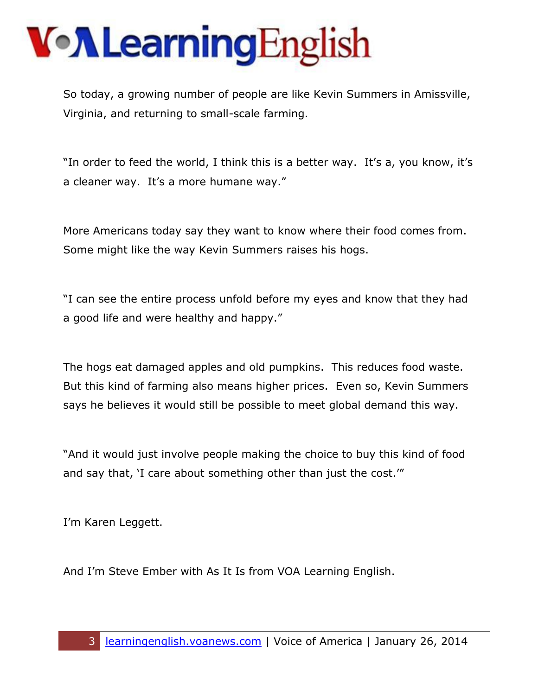So today, a growing number of people are like Kevin Summers in Amissville, Virginia, and returning to small-scale farming.

"In order to feed the world, I think this is a better way. It's a, you know, it's a cleaner way. It's a more humane way."

More Americans today say they want to know where their food comes from. Some might like the way Kevin Summers raises his hogs.

"I can see the entire process unfold before my eyes and know that they had a good life and were healthy and happy."

The hogs eat damaged apples and old pumpkins. This reduces food waste. But this kind of farming also means higher prices. Even so, Kevin Summers says he believes it would still be possible to meet global demand this way.

"And it would just involve people making the choice to buy this kind of food and say that, 'I care about something other than just the cost.'"

I'm Karen Leggett.

And I'm Steve Ember with As It Is from VOA Learning English.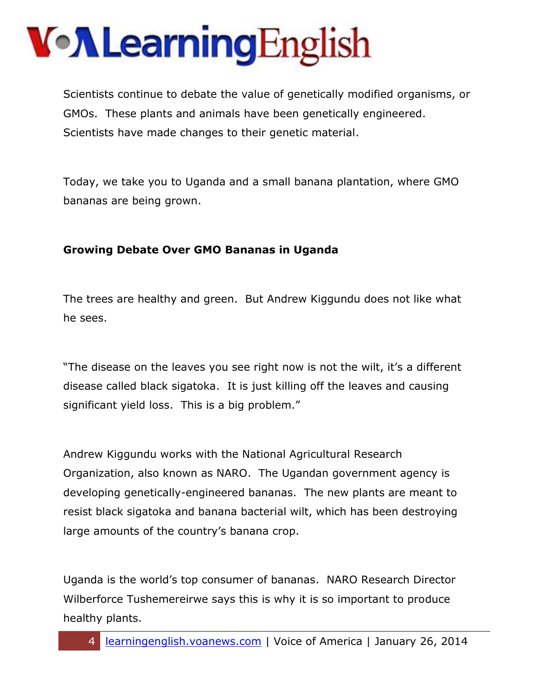Scientists continue to debate the value of genetically modified organisms, or GMOs. These plants and animals have been genetically engineered. Scientists have made changes to their genetic material.

Today, we take you to Uganda and a small banana plantation, where GMO bananas are being grown.

#### **Growing Debate Over GMO Bananas in Uganda**

The trees are healthy and green. But Andrew Kiggundu does not like what he sees.

"The disease on the leaves you see right now is not the wilt, it's a different disease called black sigatoka. It is just killing off the leaves and causing significant yield loss. This is a big problem."

Andrew Kiggundu works with the National Agricultural Research Organization, also known as NARO. The Ugandan government agency is developing genetically-engineered bananas. The new plants are meant to resist black sigatoka and banana bacterial wilt, which has been destroying large amounts of the country's banana crop.

Uganda is the world's top consumer of bananas. NARO Research Director Wilberforce Tushemereirwe says this is why it is so important to produce healthy plants.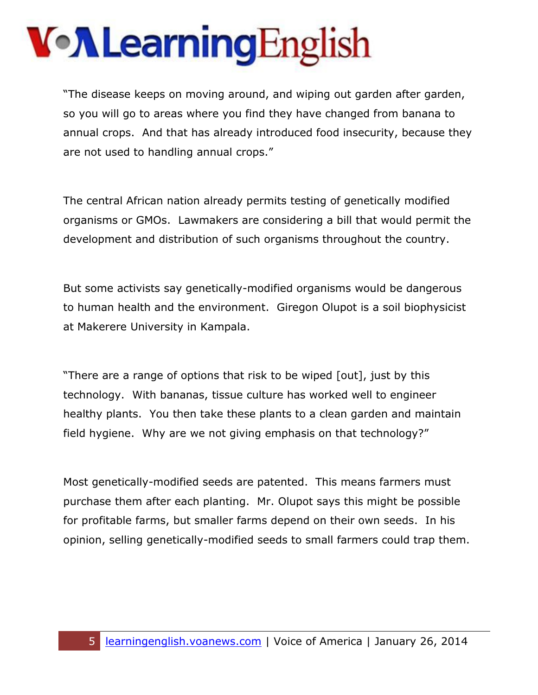"The disease keeps on moving around, and wiping out garden after garden, so you will go to areas where you find they have changed from banana to annual crops. And that has already introduced food insecurity, because they are not used to handling annual crops."

The central African nation already permits testing of genetically modified organisms or GMOs. Lawmakers are considering a bill that would permit the development and distribution of such organisms throughout the country.

But some activists say genetically-modified organisms would be dangerous to human health and the environment. Giregon Olupot is a soil biophysicist at Makerere University in Kampala.

"There are a range of options that risk to be wiped [out], just by this technology. With bananas, tissue culture has worked well to engineer healthy plants. You then take these plants to a clean garden and maintain field hygiene. Why are we not giving emphasis on that technology?"

Most genetically-modified seeds are patented. This means farmers must purchase them after each planting. Mr. Olupot says this might be possible for profitable farms, but smaller farms depend on their own seeds. In his opinion, selling genetically-modified seeds to small farmers could trap them.